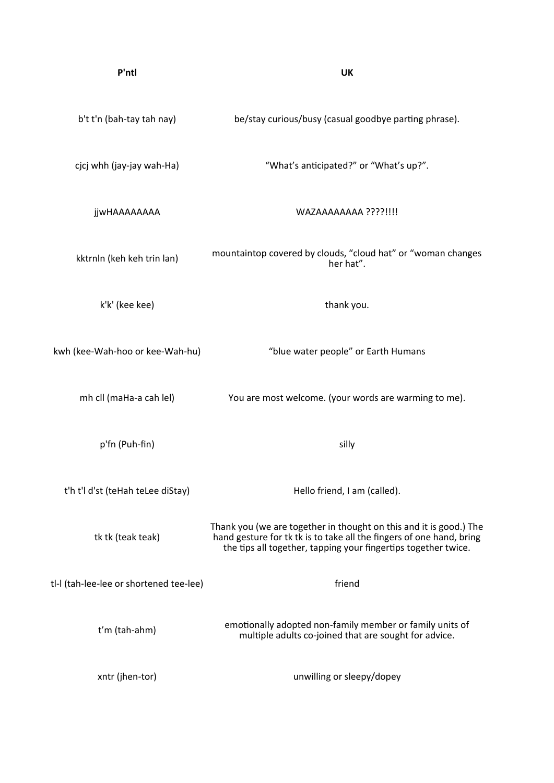| P'ntl                                   | <b>UK</b>                                                                                                                                                                                                    |
|-----------------------------------------|--------------------------------------------------------------------------------------------------------------------------------------------------------------------------------------------------------------|
| b't t'n (bah-tay tah nay)               | be/stay curious/busy (casual goodbye parting phrase).                                                                                                                                                        |
| cjcj whh (jay-jay wah-Ha)               | "What's anticipated?" or "What's up?".                                                                                                                                                                       |
| <b>jjwHAAAAAAAA</b>                     | WAZAAAAAAAA ????!!!!                                                                                                                                                                                         |
| kktrnln (keh keh trin lan)              | mountaintop covered by clouds, "cloud hat" or "woman changes<br>her hat".                                                                                                                                    |
| k'k' (kee kee)                          | thank you.                                                                                                                                                                                                   |
| kwh (kee-Wah-hoo or kee-Wah-hu)         | "blue water people" or Earth Humans                                                                                                                                                                          |
| mh cll (maHa-a cah lel)                 | You are most welcome. (your words are warming to me).                                                                                                                                                        |
| p'fn (Puh-fin)                          | silly                                                                                                                                                                                                        |
| t'h t'l d'st (teHah teLee diStay)       | Hello friend, I am (called).                                                                                                                                                                                 |
| tk tk (teak teak)                       | Thank you (we are together in thought on this and it is good.) The<br>hand gesture for tk tk is to take all the fingers of one hand, bring<br>the tips all together, tapping your fingertips together twice. |
| tl-I (tah-lee-lee or shortened tee-lee) | friend                                                                                                                                                                                                       |
| t'm (tah-ahm)                           | emotionally adopted non-family member or family units of<br>multiple adults co-joined that are sought for advice.                                                                                            |
| xntr (jhen-tor)                         | unwilling or sleepy/dopey                                                                                                                                                                                    |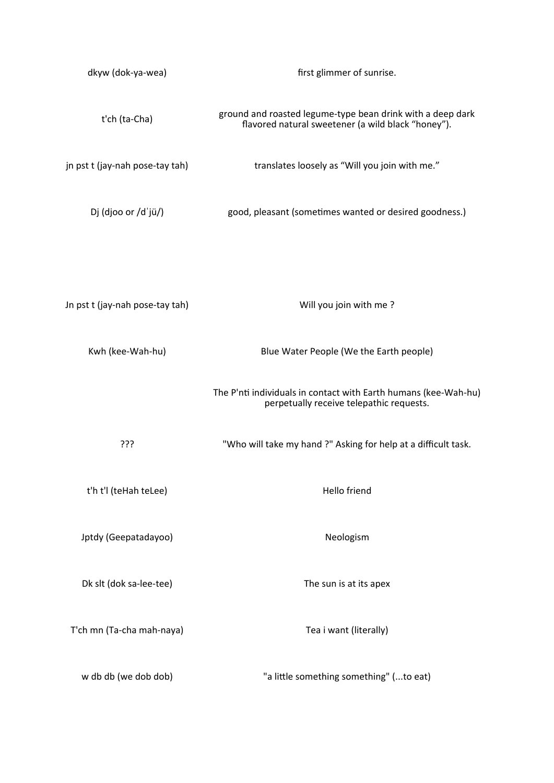| dkyw (dok-ya-wea)               | first glimmer of sunrise.                                                                                        |
|---------------------------------|------------------------------------------------------------------------------------------------------------------|
| t'ch (ta-Cha)                   | ground and roasted legume-type bean drink with a deep dark<br>flavored natural sweetener (a wild black "honey"). |
| jn pst t (jay-nah pose-tay tah) | translates loosely as "Will you join with me."                                                                   |
| Dj (djoo or /dˈjü/)             | good, pleasant (sometimes wanted or desired goodness.)                                                           |
|                                 |                                                                                                                  |
| Jn pst t (jay-nah pose-tay tah) | Will you join with me?                                                                                           |
| Kwh (kee-Wah-hu)                | Blue Water People (We the Earth people)                                                                          |
|                                 | The P'nti individuals in contact with Earth humans (kee-Wah-hu)<br>perpetually receive telepathic requests.      |
| ???                             | "Who will take my hand ?" Asking for help at a difficult task.                                                   |
| t'h t'l (teHah teLee)           | Hello friend                                                                                                     |
| Jptdy (Geepatadayoo)            | Neologism                                                                                                        |
| Dk slt (dok sa-lee-tee)         | The sun is at its apex                                                                                           |
| T'ch mn (Ta-cha mah-naya)       | Tea i want (literally)                                                                                           |
| w db db (we dob dob)            | "a little something something" (to eat)                                                                          |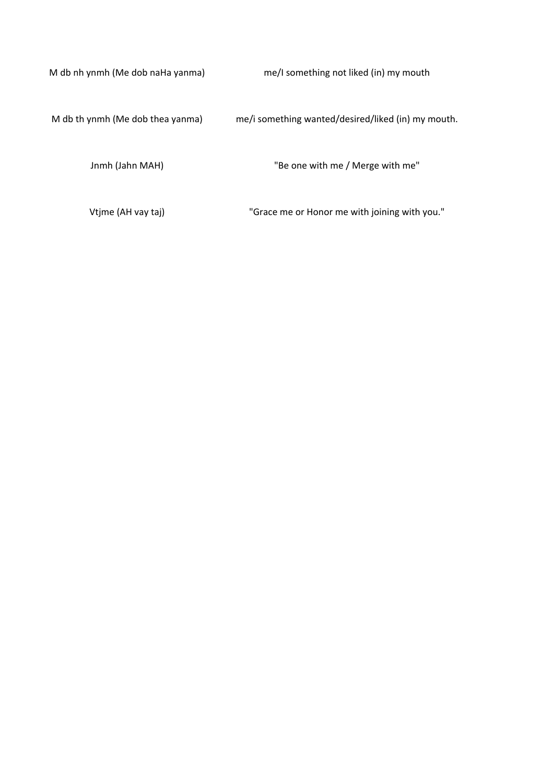M db nh ynmh (Me dob naHa yanma) me/I something not liked (in) my mouth

M db th ynmh (Me dob thea yanma) me/i something wanted/desired/liked (in) my mouth.

Jnmh (Jahn MAH) "Be one with me / Merge with me"

Vtjme (AH vay taj) "Grace me or Honor me with joining with you."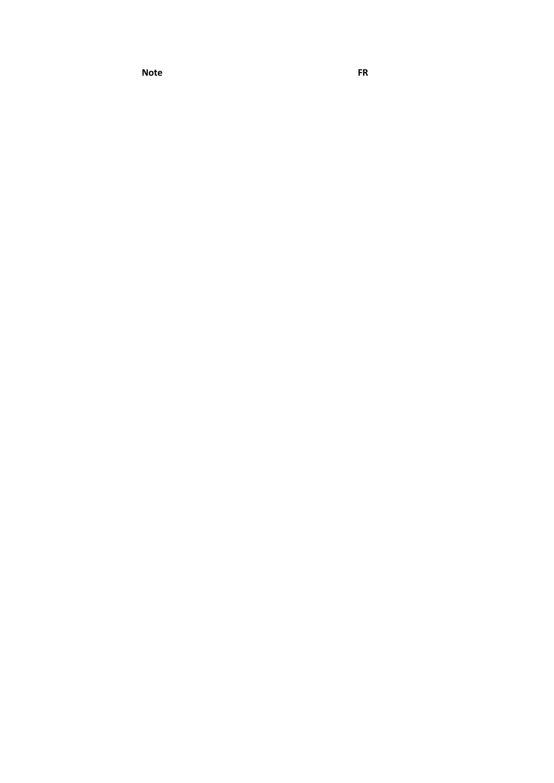**Note FR**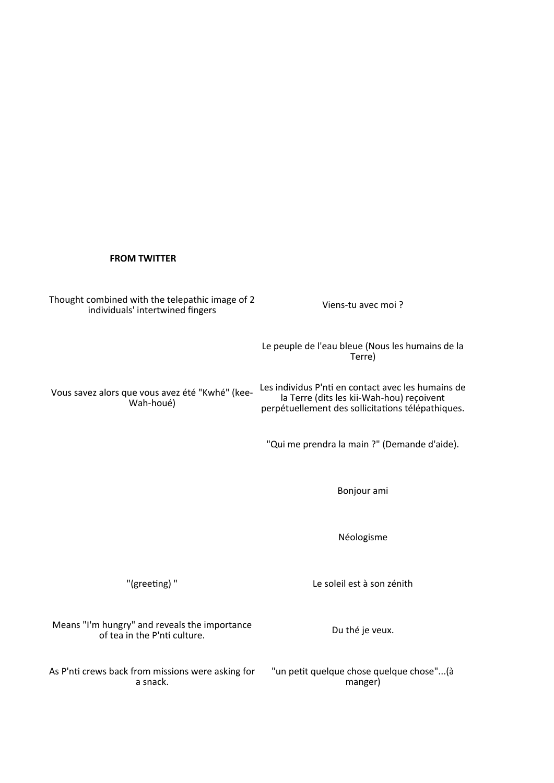## **FROM TWITTER**

Viens-tu avec moi ? "Qui me prendra la main ?" (Demande d'aide). Bonjour ami Néologisme "(greeting) " Le soleil est à son zénith Du thé je veux. Thought combined with the telepathic image of 2 individuals' intertwined fingers Le peuple de l'eau bleue (Nous les humains de la Terre) Vous savez alors que vous avez été "Kwhé" (kee-Wah-houé) Les individus P'nti en contact avec les humains de la Terre (dits les kii-Wah-hou) reçoivent perpétuellement des sollicitations télépathiques. Means "I'm hungry" and reveals the importance of tea in the P'nti culture. As P'nti crews back from missions were asking for a snack. "un petit quelque chose quelque chose"...(à manger)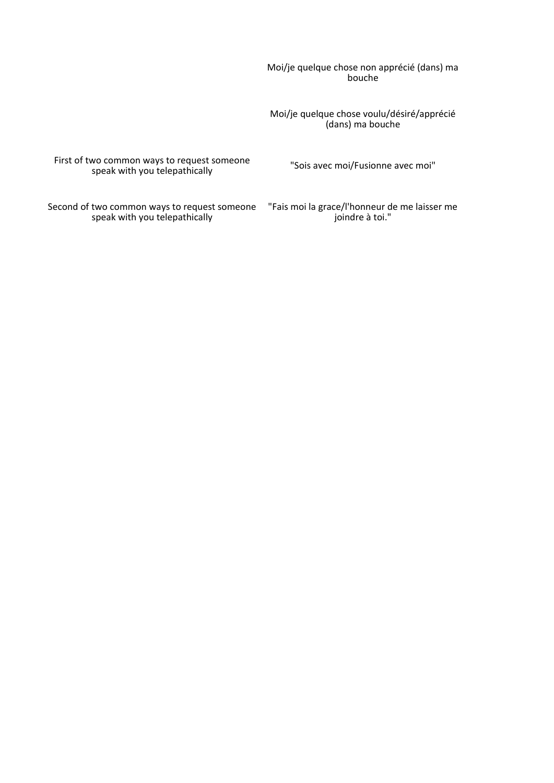Moi/je quelque chose non apprécié (dans) ma bouche

Moi/je quelque chose voulu/désiré/apprécié (dans) ma bouche

First of two common ways to request someone speak with you telepathically

"Sois avec moi/Fusionne avec moi"

Second of two common ways to request someone "Fais moi la grace/l'honneur de me laisser me speak with you telepathically

joindre à toi."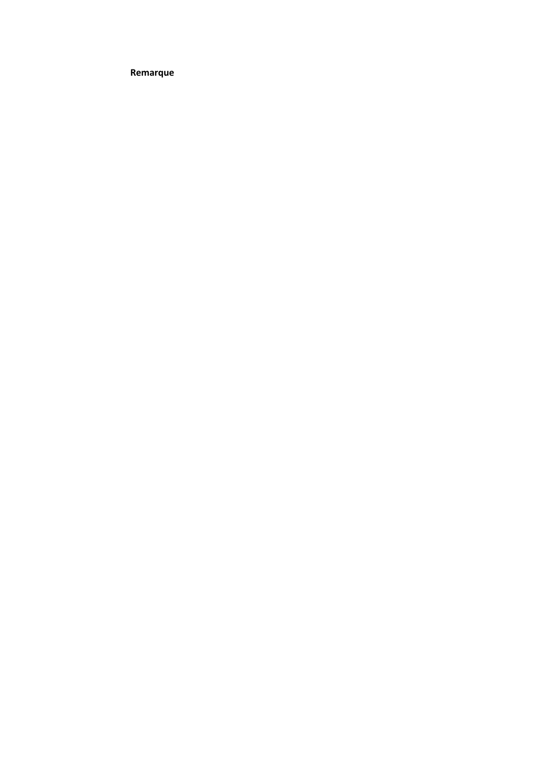**Remarque**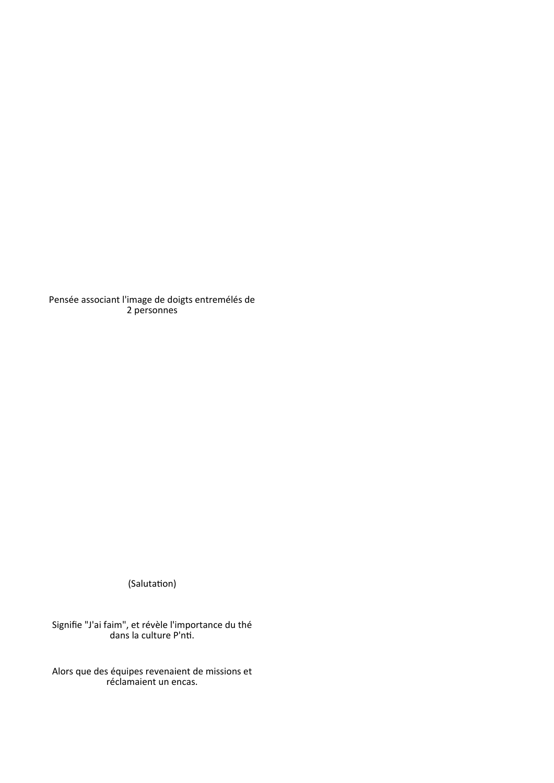Pensée associant l'image de doigts entremélés de 2 personnes

(Salutation)

Signifie "J'ai faim", et révèle l'importance du thé dans la culture P'nti.

Alors que des équipes revenaient de missions et réclamaient un encas.